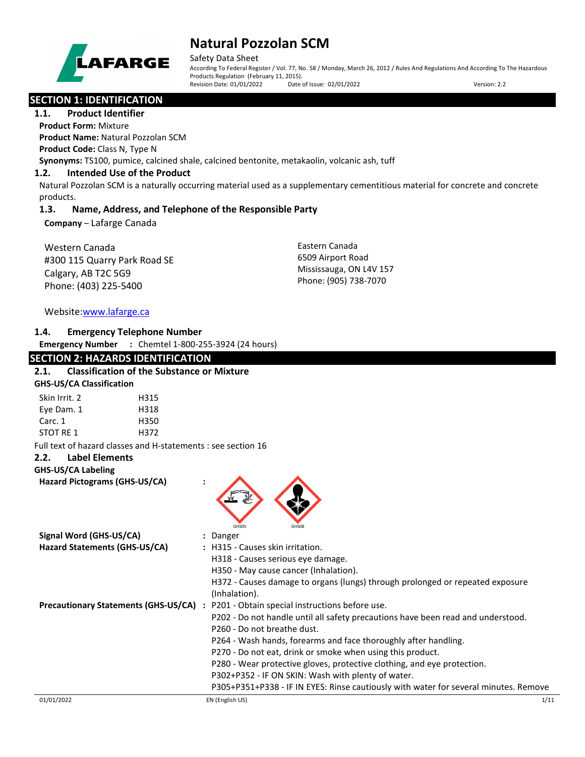

Safety Data Sheet

According To Federal Register / Vol. 77, No. 58 / Monday, March 26, 2012 / Rules And Regulations And According To The Hazardous Products Regulation (February 11, 2015).<br>Revision Date: 01/01/2022 Date of Issue: 02/01/2022 Revision Date: 01/01/2022 Date of Issue: 02/01/2022 Version: 2.2

**SECTION 1: IDENTIFICATION** 

**1.1. Product Identifier Product Form:** Mixture

**Product Name:** Natural Pozzolan SCM **Product Code:** Class N, Type N

**Synonyms:** TS100, pumice, calcined shale, calcined bentonite, metakaolin, volcanic ash, tuff

## **1.2. Intended Use of the Product**

Natural Pozzolan SCM is a naturally occurring material used as a supplementary cementitious material for concrete and concrete products.

## **1.3. Name, Address, and Telephone of the Responsible Party**

**Company** – Lafarge Canada

Western Canada #300 115 Quarry Park Road SE Calgary, AB T2C 5G9 Phone: (403) 225-5400

Eastern Canada 6509 Airport Road Mississauga, ON L4V 157 Phone: (905) 738-7070

## Website[:www.lafarge.ca](file://leon/customers/CUSTOMERS/Lafarge_North_America_Inc/Projects/Authoring_20180316/Batch_Folder/B_Draft_SDS/MS_Word_Files/www.lafarge.ca)

## **1.4. Emergency Telephone Number**

**Emergency Number :** Chemtel 1-800-255-3924 (24 hours)

| <b>SECTION 2: HAZARDS IDENTIFICATION</b>                      |                                                                                       |      |
|---------------------------------------------------------------|---------------------------------------------------------------------------------------|------|
| <b>Classification of the Substance or Mixture</b><br>2.1.     |                                                                                       |      |
| <b>GHS-US/CA Classification</b>                               |                                                                                       |      |
| Skin Irrit. 2<br>H315                                         |                                                                                       |      |
| Eye Dam. 1<br>H318                                            |                                                                                       |      |
| Carc. 1<br>H350                                               |                                                                                       |      |
| <b>STOT RE 1</b><br>H372                                      |                                                                                       |      |
| Full text of hazard classes and H-statements : see section 16 |                                                                                       |      |
| <b>Label Elements</b><br>2.2.                                 |                                                                                       |      |
| <b>GHS-US/CA Labeling</b>                                     |                                                                                       |      |
| Hazard Pictograms (GHS-US/CA)                                 |                                                                                       |      |
|                                                               |                                                                                       |      |
|                                                               |                                                                                       |      |
|                                                               |                                                                                       |      |
|                                                               | GHS05<br>GHS08                                                                        |      |
| Signal Word (GHS-US/CA)<br>Hazard Statements (GHS-US/CA)      | : Danger<br>: H315 - Causes skin irritation.                                          |      |
|                                                               | H318 - Causes serious eye damage.                                                     |      |
|                                                               | H350 - May cause cancer (Inhalation).                                                 |      |
|                                                               | H372 - Causes damage to organs (lungs) through prolonged or repeated exposure         |      |
|                                                               | (Inhalation).                                                                         |      |
|                                                               | Precautionary Statements (GHS-US/CA) : P201 - Obtain special instructions before use. |      |
|                                                               | P202 - Do not handle until all safety precautions have been read and understood.      |      |
|                                                               | P260 - Do not breathe dust.                                                           |      |
|                                                               | P264 - Wash hands, forearms and face thoroughly after handling.                       |      |
|                                                               | P270 - Do not eat, drink or smoke when using this product.                            |      |
|                                                               | P280 - Wear protective gloves, protective clothing, and eye protection.               |      |
|                                                               | P302+P352 - IF ON SKIN: Wash with plenty of water.                                    |      |
|                                                               | P305+P351+P338 - IF IN EYES: Rinse cautiously with water for several minutes. Remove  |      |
| 01/01/2022                                                    | EN (English US)                                                                       | 1/11 |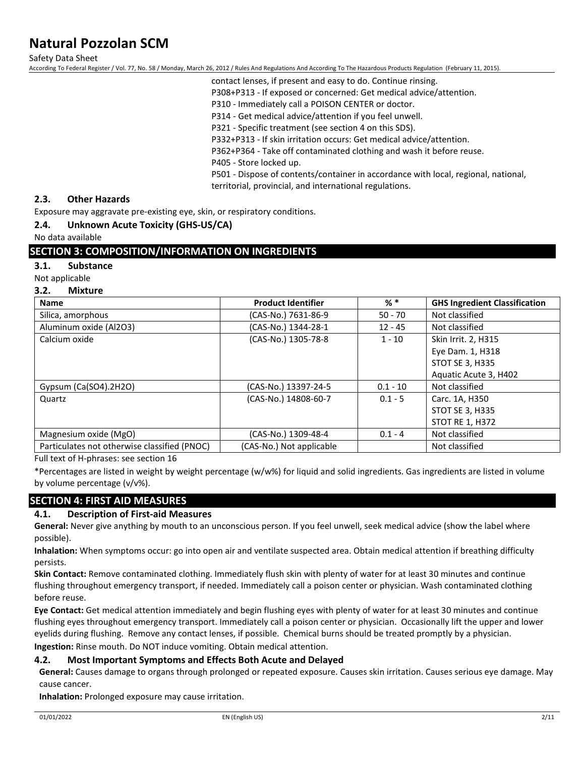Safety Data Sheet

According To Federal Register / Vol. 77, No. 58 / Monday, March 26, 2012 / Rules And Regulations And According To The Hazardous Products Regulation (February 11, 2015).

contact lenses, if present and easy to do. Continue rinsing.

P308+P313 - If exposed or concerned: Get medical advice/attention.

P310 - Immediately call a POISON CENTER or doctor.

P314 - Get medical advice/attention if you feel unwell.

P321 - Specific treatment (see section 4 on this SDS).

P332+P313 - If skin irritation occurs: Get medical advice/attention.

P362+P364 - Take off contaminated clothing and wash it before reuse.

P405 - Store locked up.

P501 - Dispose of contents/container in accordance with local, regional, national, territorial, provincial, and international regulations.

### **2.3. Other Hazards**

Exposure may aggravate pre-existing eye, skin, or respiratory conditions.

#### **2.4. Unknown Acute Toxicity (GHS-US/CA)**

No data available

### **SECTION 3: COMPOSITION/INFORMATION ON INGREDIENTS**

### **3.1. Substance**

Not applicable

#### **3.2. Mixture**

| <b>Name</b>                                  | <b>Product Identifier</b> | % *        | <b>GHS Ingredient Classification</b> |
|----------------------------------------------|---------------------------|------------|--------------------------------------|
| Silica, amorphous                            | (CAS-No.) 7631-86-9       | $50 - 70$  | Not classified                       |
| Aluminum oxide (Al2O3)                       | (CAS-No.) 1344-28-1       | $12 - 45$  | Not classified                       |
| Calcium oxide                                | (CAS-No.) 1305-78-8       | $1 - 10$   | <b>Skin Irrit. 2. H315</b>           |
|                                              |                           |            | Eye Dam. 1, H318                     |
|                                              |                           |            | <b>STOT SE 3, H335</b>               |
|                                              |                           |            | Aquatic Acute 3, H402                |
| Gypsum $(Ca(SO4).2H2O)$                      | (CAS-No.) 13397-24-5      | $0.1 - 10$ | Not classified                       |
| Quartz                                       | (CAS-No.) 14808-60-7      | $0.1 - 5$  | Carc. 1A, H350                       |
|                                              |                           |            | <b>STOT SE 3, H335</b>               |
|                                              |                           |            | <b>STOT RE 1, H372</b>               |
| Magnesium oxide (MgO)                        | (CAS-No.) 1309-48-4       | $0.1 - 4$  | Not classified                       |
| Particulates not otherwise classified (PNOC) | (CAS-No.) Not applicable  |            | Not classified                       |

Full text of H-phrases: see section 16

\*Percentages are listed in weight by weight percentage (w/w%) for liquid and solid ingredients. Gas ingredients are listed in volume by volume percentage (v/v%).

## **SECTION 4: FIRST AID MEASURES**

### **4.1. Description of First-aid Measures**

**General:** Never give anything by mouth to an unconscious person. If you feel unwell, seek medical advice (show the label where possible).

**Inhalation:** When symptoms occur: go into open air and ventilate suspected area. Obtain medical attention if breathing difficulty persists.

**Skin Contact:** Remove contaminated clothing. Immediately flush skin with plenty of water for at least 30 minutes and continue flushing throughout emergency transport, if needed. Immediately call a poison center or physician. Wash contaminated clothing before reuse.

**Eye Contact:** Get medical attention immediately and begin flushing eyes with plenty of water for at least 30 minutes and continue flushing eyes throughout emergency transport. Immediately call a poison center or physician. Occasionally lift the upper and lower eyelids during flushing. Remove any contact lenses, if possible. Chemical burns should be treated promptly by a physician. **Ingestion:** Rinse mouth. Do NOT induce vomiting. Obtain medical attention.

### **4.2. Most Important Symptoms and Effects Both Acute and Delayed**

**General:** Causes damage to organs through prolonged or repeated exposure. Causes skin irritation. Causes serious eye damage. May cause cancer.

**Inhalation:** Prolonged exposure may cause irritation.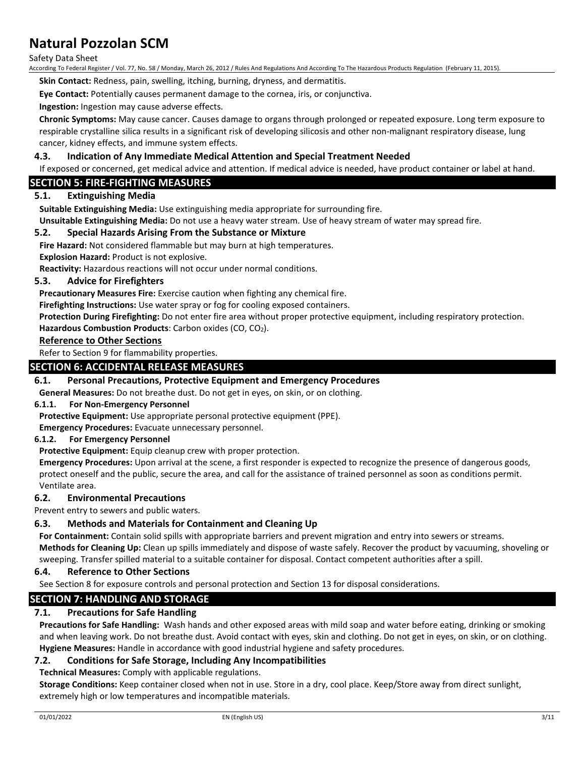#### Safety Data Sheet

According To Federal Register / Vol. 77, No. 58 / Monday, March 26, 2012 / Rules And Regulations And According To The Hazardous Products Regulation (February 11, 2015).

**Skin Contact:** Redness, pain, swelling, itching, burning, dryness, and dermatitis.

**Eye Contact:** Potentially causes permanent damage to the cornea, iris, or conjunctiva.

**Ingestion:** Ingestion may cause adverse effects.

**Chronic Symptoms:** May cause cancer. Causes damage to organs through prolonged or repeated exposure. Long term exposure to respirable crystalline silica results in a significant risk of developing silicosis and other non-malignant respiratory disease, lung cancer, kidney effects, and immune system effects.

### **4.3. Indication of Any Immediate Medical Attention and Special Treatment Needed**

If exposed or concerned, get medical advice and attention. If medical advice is needed, have product container or label at hand.

#### **SECTION 5: FIRE-FIGHTING MEASURES**

### **5.1. Extinguishing Media**

**Suitable Extinguishing Media:** Use extinguishing media appropriate for surrounding fire.

**Unsuitable Extinguishing Media:** Do not use a heavy water stream. Use of heavy stream of water may spread fire.

#### **5.2. Special Hazards Arising From the Substance or Mixture**

**Fire Hazard:** Not considered flammable but may burn at high temperatures.

**Explosion Hazard:** Product is not explosive.

**Reactivity:** Hazardous reactions will not occur under normal conditions.

#### **5.3. Advice for Firefighters**

**Precautionary Measures Fire:** Exercise caution when fighting any chemical fire.

**Firefighting Instructions:** Use water spray or fog for cooling exposed containers.

**Protection During Firefighting:** Do not enter fire area without proper protective equipment, including respiratory protection. Hazardous Combustion Products: Carbon oxides (CO, CO<sub>2</sub>).

## **Reference to Other Sections**

Refer to Section 9 for flammability properties.

## **SECTION 6: ACCIDENTAL RELEASE MEASURES**

#### **6.1. Personal Precautions, Protective Equipment and Emergency Procedures**

**General Measures:** Do not breathe dust. Do not get in eyes, on skin, or on clothing.

### **6.1.1. For Non-Emergency Personnel**

**Protective Equipment:** Use appropriate personal protective equipment (PPE).

**Emergency Procedures:** Evacuate unnecessary personnel.

#### **6.1.2. For Emergency Personnel**

**Protective Equipment:** Equip cleanup crew with proper protection.

**Emergency Procedures:** Upon arrival at the scene, a first responder is expected to recognize the presence of dangerous goods, protect oneself and the public, secure the area, and call for the assistance of trained personnel as soon as conditions permit. Ventilate area.

#### **6.2. Environmental Precautions**

Prevent entry to sewers and public waters.

### **6.3. Methods and Materials for Containment and Cleaning Up**

**For Containment:** Contain solid spills with appropriate barriers and prevent migration and entry into sewers or streams. **Methods for Cleaning Up:** Clean up spills immediately and dispose of waste safely. Recover the product by vacuuming, shoveling or sweeping. Transfer spilled material to a suitable container for disposal. Contact competent authorities after a spill.

#### **6.4. Reference to Other Sections**

See Section 8 for exposure controls and personal protection and Section 13 for disposal considerations.

### **SECTION 7: HANDLING AND STORAGE**

### **7.1. Precautions for Safe Handling**

**Precautions for Safe Handling:** Wash hands and other exposed areas with mild soap and water before eating, drinking or smoking and when leaving work. Do not breathe dust. Avoid contact with eyes, skin and clothing. Do not get in eyes, on skin, or on clothing. **Hygiene Measures:** Handle in accordance with good industrial hygiene and safety procedures.

#### **7.2. Conditions for Safe Storage, Including Any Incompatibilities**

#### **Technical Measures:** Comply with applicable regulations.

**Storage Conditions:** Keep container closed when not in use. Store in a dry, cool place. Keep/Store away from direct sunlight, extremely high or low temperatures and incompatible materials.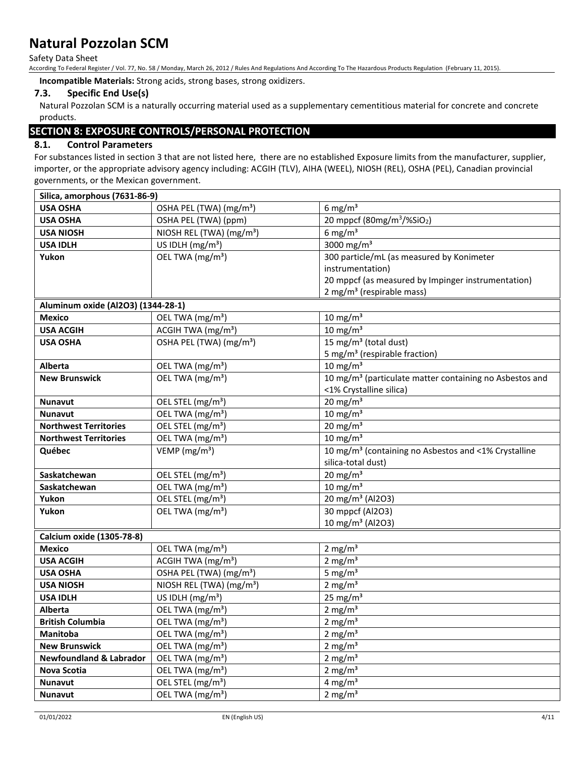Safety Data Sheet

According To Federal Register / Vol. 77, No. 58 / Monday, March 26, 2012 / Rules And Regulations And According To The Hazardous Products Regulation (February 11, 2015).

**Incompatible Materials:** Strong acids, strong bases, strong oxidizers.

## **7.3. Specific End Use(s)**

Natural Pozzolan SCM is a naturally occurring material used as a supplementary cementitious material for concrete and concrete products.

## **SECTION 8: EXPOSURE CONTROLS/PERSONAL PROTECTION**

## **8.1. Control Parameters**

For substances listed in section 3 that are not listed here, there are no established Exposure limits from the manufacturer, supplier, importer, or the appropriate advisory agency including: ACGIH (TLV), AIHA (WEEL), NIOSH (REL), OSHA (PEL), Canadian provincial governments, or the Mexican government.

| Silica, amorphous (7631-86-9)      |                                      |                                                                     |
|------------------------------------|--------------------------------------|---------------------------------------------------------------------|
| <b>USA OSHA</b>                    | OSHA PEL (TWA) (mg/m <sup>3</sup> )  | 6 mg/m <sup>3</sup>                                                 |
| <b>USA OSHA</b>                    | OSHA PEL (TWA) (ppm)                 | 20 mppcf (80mg/m <sup>3</sup> /%SiO <sub>2</sub> )                  |
| <b>USA NIOSH</b>                   | NIOSH REL (TWA) (mg/m <sup>3</sup> ) | 6 mg/m $3$                                                          |
| <b>USA IDLH</b>                    | US IDLH $(mg/m3)$                    | $\frac{1}{3000}$ mg/m <sup>3</sup>                                  |
| Yukon                              | OEL TWA (mg/m <sup>3</sup> )         | 300 particle/mL (as measured by Konimeter                           |
|                                    |                                      | instrumentation)                                                    |
|                                    |                                      | 20 mppcf (as measured by Impinger instrumentation)                  |
|                                    |                                      | 2 mg/m <sup>3</sup> (respirable mass)                               |
| Aluminum oxide (Al2O3) (1344-28-1) |                                      |                                                                     |
| <b>Mexico</b>                      | OEL TWA (mg/m <sup>3</sup> )         | 10 mg/m $3$                                                         |
| <b>USA ACGIH</b>                   | ACGIH TWA (mg/m <sup>3</sup> )       | $10 \text{ mg/m}^3$                                                 |
| <b>USA OSHA</b>                    | OSHA PEL (TWA) (mg/m <sup>3</sup> )  | 15 mg/m <sup>3</sup> (total dust)                                   |
|                                    |                                      | 5 mg/m <sup>3</sup> (respirable fraction)                           |
| <b>Alberta</b>                     | OEL TWA (mg/m <sup>3</sup> )         | 10 mg/m $3$                                                         |
| <b>New Brunswick</b>               | OEL TWA (mg/m <sup>3</sup> )         | 10 mg/m <sup>3</sup> (particulate matter containing no Asbestos and |
|                                    |                                      | <1% Crystalline silica)                                             |
| <b>Nunavut</b>                     | OEL STEL (mg/m <sup>3</sup> )        | $20 \text{ mg/m}^3$                                                 |
| <b>Nunavut</b>                     | OEL TWA (mg/m <sup>3</sup> )         | $10 \text{ mg/m}^3$                                                 |
| <b>Northwest Territories</b>       | OEL STEL (mg/m <sup>3</sup> )        | $20 \text{ mg/m}^3$                                                 |
| <b>Northwest Territories</b>       | OEL TWA (mg/m <sup>3</sup> )         | 10 mg/m $3$                                                         |
| Québec                             | $VEMP$ (mg/m <sup>3</sup> )          | 10 mg/m <sup>3</sup> (containing no Asbestos and <1% Crystalline    |
|                                    |                                      | silica-total dust)                                                  |
| Saskatchewan                       | OEL STEL (mg/m <sup>3</sup> )        | 20 mg/m $3$                                                         |
| Saskatchewan                       | OEL TWA (mg/m <sup>3</sup> )         | 10 mg/m $3$                                                         |
| Yukon                              | OEL STEL (mg/m <sup>3</sup> )        | 20 mg/m <sup>3</sup> (Al2O3)                                        |
| Yukon                              | OEL TWA (mg/m <sup>3</sup> )         | 30 mppcf (Al2O3)                                                    |
|                                    |                                      | 10 mg/m <sup>3</sup> (Al2O3)                                        |
| Calcium oxide (1305-78-8)          |                                      |                                                                     |
| <b>Mexico</b>                      | OEL TWA (mg/m <sup>3</sup> )         | 2 mg/ $m3$                                                          |
| <b>USA ACGIH</b>                   | ACGIH TWA (mg/m <sup>3</sup> )       | 2 mg/m $3$                                                          |
| <b>USA OSHA</b>                    | OSHA PEL (TWA) (mg/m <sup>3</sup> )  | 5 mg/ $m3$                                                          |
| <b>USA NIOSH</b>                   | NIOSH REL (TWA) (mg/m <sup>3</sup> ) | 2 mg/ $m3$                                                          |
| <b>USA IDLH</b>                    | US IDLH (mg/m <sup>3</sup> )         | 25 mg/m $3$                                                         |
| Alberta                            | OEL TWA (mg/m <sup>3</sup> )         | 2 mg/ $m3$                                                          |
| <b>British Columbia</b>            | OEL TWA (mg/m <sup>3</sup> )         | $2 \text{ mg/m}^3$                                                  |
| Manitoba                           | OEL TWA (mg/m <sup>3</sup> )         | 2 mg/ $m3$                                                          |
| <b>New Brunswick</b>               | OEL TWA (mg/m <sup>3</sup> )         | 2 mg/ $m3$                                                          |
| <b>Newfoundland &amp; Labrador</b> | OEL TWA (mg/m <sup>3</sup> )         | 2 mg/ $m3$                                                          |
| <b>Nova Scotia</b>                 | OEL TWA (mg/m <sup>3</sup> )         | 2 mg/ $m3$                                                          |
| <b>Nunavut</b>                     | OEL STEL (mg/m <sup>3</sup> )        | 4 mg/ $m3$                                                          |
| <b>Nunavut</b>                     | OEL TWA (mg/m <sup>3</sup> )         | 2 mg/ $m3$                                                          |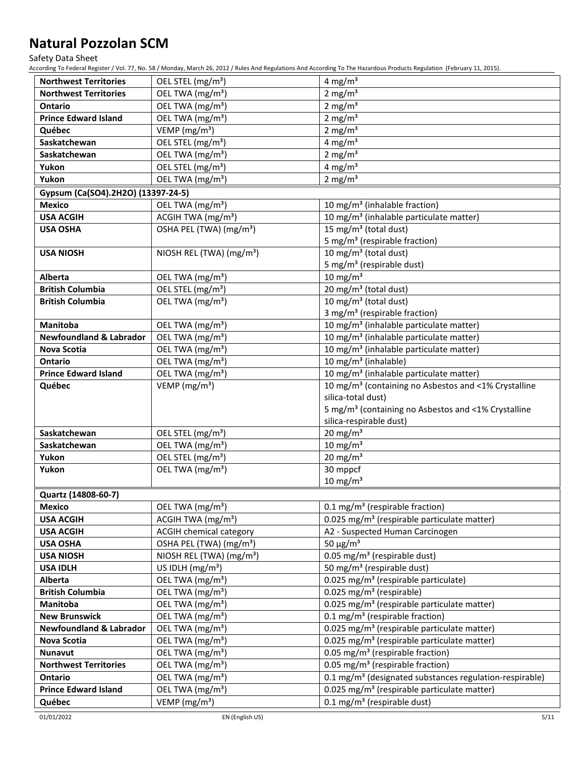Safety Data Sheet

According To Federal Register / Vol. 77, No. 58 / Monday, March 26, 2012 / Rules And Regulations And According To The Hazardous Products Regulation (February 11, 2015).

| <b>Northwest Territories</b>       | OEL STEL (mg/m <sup>3</sup> )        | 4 mg/m <sup>3</sup>                                                 |
|------------------------------------|--------------------------------------|---------------------------------------------------------------------|
| <b>Northwest Territories</b>       | OEL TWA (mg/m <sup>3</sup> )         | 2 mg/ $m3$                                                          |
| <b>Ontario</b>                     | OEL TWA (mg/m <sup>3</sup> )         | 2 mg/ $m3$                                                          |
| <b>Prince Edward Island</b>        | OEL TWA (mg/m <sup>3</sup> )         | 2 mg/ $m3$                                                          |
| Québec                             | VEMP ( $mg/m3$ )                     | 2 mg/ $m3$                                                          |
| Saskatchewan                       | OEL STEL (mg/m <sup>3</sup> )        | 4 mg/m <sup>3</sup>                                                 |
| Saskatchewan                       | OEL TWA (mg/m <sup>3</sup> )         | 2 mg/ $m3$                                                          |
| Yukon                              | OEL STEL (mg/m <sup>3</sup> )        | 4 mg/m $3$                                                          |
| Yukon                              | OEL TWA (mg/m <sup>3</sup> )         | 2 mg/ $m3$                                                          |
| Gypsum (Ca(SO4).2H2O) (13397-24-5) |                                      |                                                                     |
| <b>Mexico</b>                      | OEL TWA (mg/m <sup>3</sup> )         | 10 mg/m <sup>3</sup> (inhalable fraction)                           |
| <b>USA ACGIH</b>                   | ACGIH TWA (mg/m <sup>3</sup> )       | 10 mg/m <sup>3</sup> (inhalable particulate matter)                 |
| <b>USA OSHA</b>                    | OSHA PEL (TWA) (mg/m <sup>3</sup> )  | 15 mg/m <sup>3</sup> (total dust)                                   |
|                                    |                                      | 5 mg/m <sup>3</sup> (respirable fraction)                           |
| <b>USA NIOSH</b>                   | NIOSH REL (TWA) (mg/m <sup>3</sup> ) | 10 mg/m <sup>3</sup> (total dust)                                   |
|                                    |                                      | 5 mg/m <sup>3</sup> (respirable dust)                               |
| <b>Alberta</b>                     | OEL TWA (mg/m <sup>3</sup> )         | $10 \text{ mg/m}^3$                                                 |
| <b>British Columbia</b>            | OEL STEL (mg/m <sup>3</sup> )        | 20 mg/m <sup>3</sup> (total dust)                                   |
| <b>British Columbia</b>            | OEL TWA (mg/m <sup>3</sup> )         | 10 mg/m <sup>3</sup> (total dust)                                   |
|                                    |                                      | 3 mg/m <sup>3</sup> (respirable fraction)                           |
| <b>Manitoba</b>                    | OEL TWA (mg/m <sup>3</sup> )         | 10 mg/m <sup>3</sup> (inhalable particulate matter)                 |
| <b>Newfoundland &amp; Labrador</b> | OEL TWA (mg/m <sup>3</sup> )         | 10 mg/m <sup>3</sup> (inhalable particulate matter)                 |
| Nova Scotia                        | OEL TWA (mg/m <sup>3</sup> )         | 10 mg/m <sup>3</sup> (inhalable particulate matter)                 |
| <b>Ontario</b>                     | OEL TWA (mg/m <sup>3</sup> )         | 10 mg/m <sup>3</sup> (inhalable)                                    |
| <b>Prince Edward Island</b>        | OEL TWA (mg/m <sup>3</sup> )         | 10 mg/m <sup>3</sup> (inhalable particulate matter)                 |
| Québec                             | VEMP ( $mg/m3$ )                     | 10 mg/m <sup>3</sup> (containing no Asbestos and <1% Crystalline    |
|                                    |                                      | silica-total dust)                                                  |
|                                    |                                      | 5 mg/m <sup>3</sup> (containing no Asbestos and <1% Crystalline     |
|                                    |                                      | silica-respirable dust)                                             |
| Saskatchewan                       | OEL STEL (mg/m <sup>3</sup> )        | $20 \text{ mg/m}^3$                                                 |
| Saskatchewan                       | OEL TWA (mg/m <sup>3</sup> )         | 10 mg/m $3$                                                         |
| Yukon                              | OEL STEL (mg/m <sup>3</sup> )        | 20 mg/m $3$                                                         |
| Yukon                              | OEL TWA (mg/m <sup>3</sup> )         | 30 mppcf                                                            |
|                                    |                                      | $10$ mg/m <sup>3</sup>                                              |
| Quartz (14808-60-7)                |                                      |                                                                     |
| <b>Mexico</b>                      | OEL TWA (mg/m <sup>3</sup> )         | 0.1 mg/m <sup>3</sup> (respirable fraction)                         |
| <b>USA ACGIH</b>                   | ACGIH TWA $(mg/m3)$                  | 0.025 mg/m <sup>3</sup> (respirable particulate matter)             |
| <b>USA ACGIH</b>                   |                                      |                                                                     |
|                                    | ACGIH chemical category              | A2 - Suspected Human Carcinogen                                     |
| <b>USA OSHA</b>                    | OSHA PEL (TWA) (mg/m <sup>3</sup> )  | 50 $\mu$ g/m <sup>3</sup>                                           |
| <b>USA NIOSH</b>                   | NIOSH REL (TWA) (mg/m <sup>3</sup> ) | 0.05 mg/m <sup>3</sup> (respirable dust)                            |
| <b>USA IDLH</b>                    | US IDLH $(mg/m3)$                    | 50 mg/m <sup>3</sup> (respirable dust)                              |
| <b>Alberta</b>                     | OEL TWA (mg/m <sup>3</sup> )         | 0.025 mg/m <sup>3</sup> (respirable particulate)                    |
| <b>British Columbia</b>            | OEL TWA (mg/m <sup>3</sup> )         | 0.025 mg/m <sup>3</sup> (respirable)                                |
| Manitoba                           | OEL TWA (mg/m <sup>3</sup> )         | 0.025 mg/m <sup>3</sup> (respirable particulate matter)             |
| <b>New Brunswick</b>               | OEL TWA (mg/m <sup>3</sup> )         | 0.1 mg/m <sup>3</sup> (respirable fraction)                         |
| <b>Newfoundland &amp; Labrador</b> | OEL TWA (mg/m <sup>3</sup> )         | 0.025 mg/m <sup>3</sup> (respirable particulate matter)             |
| Nova Scotia                        | OEL TWA (mg/m <sup>3</sup> )         | 0.025 mg/m <sup>3</sup> (respirable particulate matter)             |
| <b>Nunavut</b>                     | OEL TWA (mg/m <sup>3</sup> )         | 0.05 mg/m <sup>3</sup> (respirable fraction)                        |
| <b>Northwest Territories</b>       | OEL TWA (mg/m <sup>3</sup> )         | 0.05 mg/m <sup>3</sup> (respirable fraction)                        |
| <b>Ontario</b>                     | OEL TWA (mg/m <sup>3</sup> )         | 0.1 mg/m <sup>3</sup> (designated substances regulation-respirable) |
| <b>Prince Edward Island</b>        | OEL TWA (mg/m <sup>3</sup> )         | 0.025 mg/m <sup>3</sup> (respirable particulate matter)             |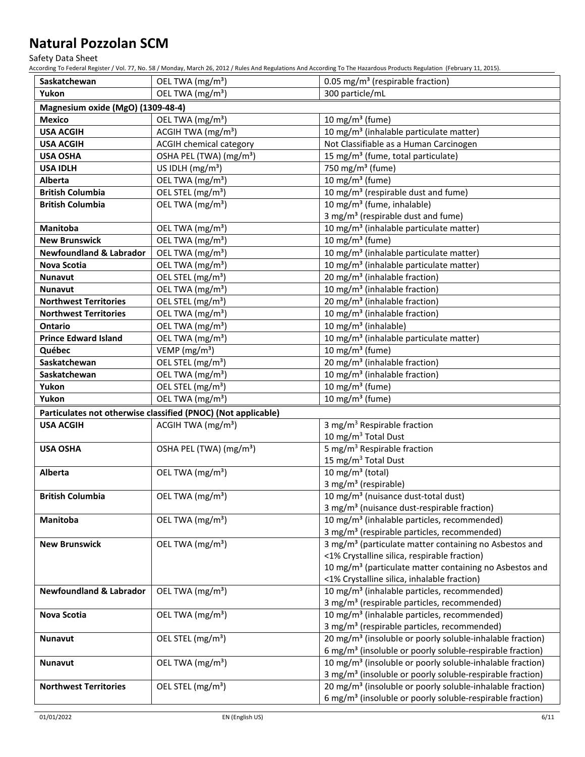Safety Data Sheet

According To Federal Register / Vol. 77, No. 58 / Monday, March 26, 2012 / Rules And Regulations And According To The Hazardous Products Regulation (February 11, 2015).

| Saskatchewan                                                  | OEL TWA (mg/m <sup>3</sup> )        | 0.05 mg/m <sup>3</sup> (respirable fraction)                                                           |  |
|---------------------------------------------------------------|-------------------------------------|--------------------------------------------------------------------------------------------------------|--|
| Yukon                                                         | OEL TWA (mg/m <sup>3</sup> )        | 300 particle/mL                                                                                        |  |
| Magnesium oxide (MgO) (1309-48-4)                             |                                     |                                                                                                        |  |
| <b>Mexico</b>                                                 | OEL TWA (mg/m <sup>3</sup> )        | 10 mg/m $3$ (fume)                                                                                     |  |
| <b>USA ACGIH</b>                                              | ACGIH TWA $(mg/m3)$                 | 10 mg/m <sup>3</sup> (inhalable particulate matter)                                                    |  |
| <b>USA ACGIH</b>                                              | <b>ACGIH chemical category</b>      | Not Classifiable as a Human Carcinogen                                                                 |  |
| <b>USA OSHA</b>                                               | OSHA PEL (TWA) (mg/m <sup>3</sup> ) | 15 mg/m <sup>3</sup> (fume, total particulate)                                                         |  |
| <b>USA IDLH</b>                                               | US IDLH $(mg/m3)$                   | 750 mg/m <sup>3</sup> (fume)                                                                           |  |
| Alberta                                                       | OEL TWA (mg/m <sup>3</sup> )        | 10 mg/m $3$ (fume)                                                                                     |  |
| <b>British Columbia</b>                                       | OEL STEL (mg/m <sup>3</sup> )       | 10 mg/m <sup>3</sup> (respirable dust and fume)                                                        |  |
| <b>British Columbia</b>                                       | OEL TWA (mg/m <sup>3</sup> )        | 10 mg/m <sup>3</sup> (fume, inhalable)                                                                 |  |
|                                                               |                                     | 3 mg/m <sup>3</sup> (respirable dust and fume)                                                         |  |
| Manitoba                                                      | OEL TWA (mg/m <sup>3</sup> )        | 10 mg/m <sup>3</sup> (inhalable particulate matter)                                                    |  |
| <b>New Brunswick</b>                                          | OEL TWA (mg/m <sup>3</sup> )        | 10 mg/m <sup>3</sup> (fume)                                                                            |  |
| <b>Newfoundland &amp; Labrador</b>                            | OEL TWA (mg/m <sup>3</sup> )        | 10 mg/m <sup>3</sup> (inhalable particulate matter)                                                    |  |
| <b>Nova Scotia</b>                                            | OEL TWA (mg/m <sup>3</sup> )        | 10 mg/m <sup>3</sup> (inhalable particulate matter)                                                    |  |
| <b>Nunavut</b>                                                | OEL STEL (mg/m <sup>3</sup> )       | 20 mg/m <sup>3</sup> (inhalable fraction)                                                              |  |
| <b>Nunavut</b>                                                | OEL TWA (mg/m <sup>3</sup> )        | 10 mg/m <sup>3</sup> (inhalable fraction)                                                              |  |
| <b>Northwest Territories</b>                                  | OEL STEL (mg/m <sup>3</sup> )       | 20 mg/m <sup>3</sup> (inhalable fraction)                                                              |  |
| <b>Northwest Territories</b>                                  | OEL TWA (mg/m <sup>3</sup> )        | 10 mg/m <sup>3</sup> (inhalable fraction)                                                              |  |
| Ontario                                                       | OEL TWA (mg/m <sup>3</sup> )        | 10 mg/m <sup>3</sup> (inhalable)                                                                       |  |
| <b>Prince Edward Island</b>                                   | OEL TWA (mg/m <sup>3</sup> )        | 10 mg/m <sup>3</sup> (inhalable particulate matter)                                                    |  |
| Québec                                                        | VEMP ( $mg/m3$ )                    | 10 mg/m $3$ (fume)                                                                                     |  |
| Saskatchewan                                                  | OEL STEL (mg/m <sup>3</sup> )       | 20 mg/m <sup>3</sup> (inhalable fraction)                                                              |  |
| Saskatchewan                                                  | OEL TWA (mg/m <sup>3</sup> )        | 10 mg/m <sup>3</sup> (inhalable fraction)                                                              |  |
| Yukon                                                         | OEL STEL (mg/m <sup>3</sup> )       | 10 mg/m <sup>3</sup> (fume)                                                                            |  |
| Yukon                                                         | OEL TWA (mg/m <sup>3</sup> )        | 10 mg/m $3$ (fume)                                                                                     |  |
| Particulates not otherwise classified (PNOC) (Not applicable) |                                     |                                                                                                        |  |
| <b>USA ACGIH</b>                                              | ACGIH TWA $(mg/m3)$                 | 3 mg/m <sup>3</sup> Respirable fraction                                                                |  |
|                                                               |                                     | 10 mg/m <sup>3</sup> Total Dust                                                                        |  |
| <b>USA OSHA</b>                                               | OSHA PEL (TWA) (mg/m <sup>3</sup> ) | 5 mg/m <sup>3</sup> Respirable fraction                                                                |  |
|                                                               |                                     | 15 mg/m <sup>3</sup> Total Dust                                                                        |  |
| Alberta                                                       | OEL TWA (mg/m <sup>3</sup> )        | 10 mg/m $3$ (total)                                                                                    |  |
|                                                               |                                     | 3 mg/m <sup>3</sup> (respirable)                                                                       |  |
| <b>British Columbia</b>                                       | OEL TWA (mg/m <sup>3</sup> )        | 10 mg/m <sup>3</sup> (nuisance dust-total dust)                                                        |  |
|                                                               |                                     | 3 mg/m <sup>3</sup> (nuisance dust-respirable fraction)                                                |  |
| Manitoba                                                      | OEL TWA (mg/m <sup>3</sup> )        | 10 mg/m <sup>3</sup> (inhalable particles, recommended)                                                |  |
|                                                               |                                     | 3 mg/m <sup>3</sup> (respirable particles, recommended)                                                |  |
| <b>New Brunswick</b>                                          | OEL TWA (mg/m <sup>3</sup> )        | 3 mg/m <sup>3</sup> (particulate matter containing no Asbestos and                                     |  |
|                                                               |                                     | <1% Crystalline silica, respirable fraction)                                                           |  |
|                                                               |                                     | 10 mg/m <sup>3</sup> (particulate matter containing no Asbestos and                                    |  |
| <b>Newfoundland &amp; Labrador</b>                            | OEL TWA (mg/m <sup>3</sup> )        | <1% Crystalline silica, inhalable fraction)<br>10 mg/m <sup>3</sup> (inhalable particles, recommended) |  |
|                                                               |                                     | 3 mg/m <sup>3</sup> (respirable particles, recommended)                                                |  |
| <b>Nova Scotia</b>                                            | OEL TWA (mg/m <sup>3</sup> )        | 10 mg/m <sup>3</sup> (inhalable particles, recommended)                                                |  |
|                                                               |                                     | 3 mg/m <sup>3</sup> (respirable particles, recommended)                                                |  |
| <b>Nunavut</b>                                                | OEL STEL (mg/m <sup>3</sup> )       | 20 mg/m <sup>3</sup> (insoluble or poorly soluble-inhalable fraction)                                  |  |
|                                                               |                                     | 6 mg/m <sup>3</sup> (insoluble or poorly soluble-respirable fraction)                                  |  |
| <b>Nunavut</b>                                                | OEL TWA (mg/m <sup>3</sup> )        | 10 mg/m <sup>3</sup> (insoluble or poorly soluble-inhalable fraction)                                  |  |
|                                                               |                                     | 3 mg/m <sup>3</sup> (insoluble or poorly soluble-respirable fraction)                                  |  |
| <b>Northwest Territories</b>                                  | OEL STEL (mg/m <sup>3</sup> )       | 20 mg/m <sup>3</sup> (insoluble or poorly soluble-inhalable fraction)                                  |  |
|                                                               |                                     | 6 mg/m <sup>3</sup> (insoluble or poorly soluble-respirable fraction)                                  |  |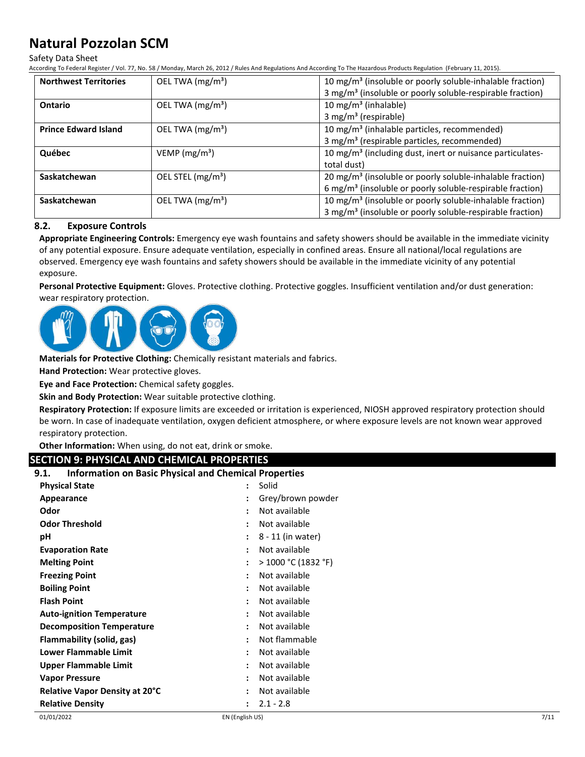Safety Data Sheet

According To Federal Register / Vol. 77, No. 58 / Monday, March 26, 2012 / Rules And Regulations And According To The Hazardous Products Regulation (February 11, 2015).

| <b>Northwest Territories</b> | OEL TWA (mg/m <sup>3</sup> )  | 10 mg/m <sup>3</sup> (insoluble or poorly soluble-inhalable fraction) |
|------------------------------|-------------------------------|-----------------------------------------------------------------------|
|                              |                               | 3 mg/m <sup>3</sup> (insoluble or poorly soluble-respirable fraction) |
| Ontario                      | OEL TWA (mg/m <sup>3</sup> )  | 10 mg/m <sup>3</sup> (inhalable)                                      |
|                              |                               | $3$ mg/m <sup>3</sup> (respirable)                                    |
| <b>Prince Edward Island</b>  | OEL TWA (mg/m <sup>3</sup> )  | 10 mg/m <sup>3</sup> (inhalable particles, recommended)               |
|                              |                               | 3 mg/m <sup>3</sup> (respirable particles, recommended)               |
| Québec                       | VEMP ( $mg/m3$ )              | 10 mg/m <sup>3</sup> (including dust, inert or nuisance particulates- |
|                              |                               | total dust)                                                           |
| Saskatchewan                 | OEL STEL (mg/m <sup>3</sup> ) | 20 mg/m <sup>3</sup> (insoluble or poorly soluble-inhalable fraction) |
|                              |                               | 6 mg/m <sup>3</sup> (insoluble or poorly soluble-respirable fraction) |
| Saskatchewan                 | OEL TWA (mg/m <sup>3</sup> )  | 10 mg/m <sup>3</sup> (insoluble or poorly soluble-inhalable fraction) |
|                              |                               | 3 mg/m <sup>3</sup> (insoluble or poorly soluble-respirable fraction) |

## **8.2. Exposure Controls**

**Appropriate Engineering Controls:** Emergency eye wash fountains and safety showers should be available in the immediate vicinity of any potential exposure. Ensure adequate ventilation, especially in confined areas. Ensure all national/local regulations are observed. Emergency eye wash fountains and safety showers should be available in the immediate vicinity of any potential exposure.

**Personal Protective Equipment:** Gloves. Protective clothing. Protective goggles. Insufficient ventilation and/or dust generation: wear respiratory protection.



**Materials for Protective Clothing:** Chemically resistant materials and fabrics.

**Hand Protection:** Wear protective gloves.

**Eye and Face Protection:** Chemical safety goggles.

**Skin and Body Protection:** Wear suitable protective clothing.

**Respiratory Protection:** If exposure limits are exceeded or irritation is experienced, NIOSH approved respiratory protection should be worn. In case of inadequate ventilation, oxygen deficient atmosphere, or where exposure levels are not known wear approved respiratory protection.

**Other Information:** When using, do not eat, drink or smoke.

## **SECTION 9: PHYSICAL AND CHEMICAL PROPERTIES**

## **9.1. Information on Basic Physical and Chemical Properties**

| <b>Physical State</b>                 | Solid<br>$\cdot$                |
|---------------------------------------|---------------------------------|
| Appearance                            | Grey/brown powder               |
| Odor                                  | Not available                   |
| <b>Odor Threshold</b>                 | Not available                   |
| рH                                    | 8 - 11 (in water)               |
| <b>Evaporation Rate</b>               | Not available                   |
| <b>Melting Point</b>                  | $>$ 1000 °C (1832 °F)           |
| <b>Freezing Point</b>                 | Not available<br>$\ddot{\cdot}$ |
| <b>Boiling Point</b>                  | Not available<br>٠              |
| <b>Flash Point</b>                    | Not available<br>$\bullet$      |
| <b>Auto-ignition Temperature</b>      | Not available<br>$\cdot$        |
| <b>Decomposition Temperature</b>      | Not available<br>٠              |
| Flammability (solid, gas)             | Not flammable                   |
| Lower Flammable Limit                 | Not available                   |
| Upper Flammable Limit                 | Not available                   |
| <b>Vapor Pressure</b>                 | Not available                   |
| <b>Relative Vapor Density at 20°C</b> | Not available                   |
| <b>Relative Density</b>               | $2.1 - 2.8$                     |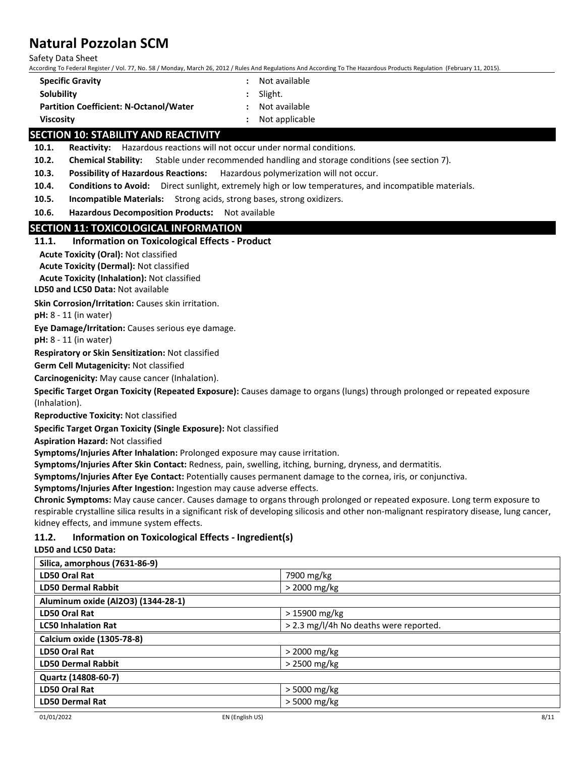Safety Data Sheet

According To Federal Register / Vol. 77, No. 58 / Monday, March 26, 2012 / Rules And Regulations And According To The Hazardous Products Regulation (February 11, 2015).

| <b>Specific Gravity</b>                       | : Not available  |
|-----------------------------------------------|------------------|
| Solubility                                    | $:$ Slight.      |
| <b>Partition Coefficient: N-Octanol/Water</b> | : Not available  |
| <b>Viscosity</b>                              | : Not applicable |

## **SECTION 10: STABILITY AND REACTIVITY**

**10.1. Reactivity:** Hazardous reactions will not occur under normal conditions.

**10.2. Chemical Stability:** Stable under recommended handling and storage conditions (see section 7).

**10.3. Possibility of Hazardous Reactions:** Hazardous polymerization will not occur.

**10.4. Conditions to Avoid:** Direct sunlight, extremely high or low temperatures, and incompatible materials.

**10.5. Incompatible Materials:** Strong acids, strong bases, strong oxidizers.

**10.6. Hazardous Decomposition Products:** Not available

## **SECTION 11: TOXICOLOGICAL INFORMATION**

#### **11.1. Information on Toxicological Effects - Product**

**Acute Toxicity (Oral):** Not classified

**LD50 and LC50 Data:** Not available **Acute Toxicity (Dermal):** Not classified **Acute Toxicity (Inhalation):** Not classified

**Skin Corrosion/Irritation:** Causes skin irritation.

**pH:** 8 - 11 (in water)

**Eye Damage/Irritation:** Causes serious eye damage.

**pH:** 8 - 11 (in water)

**Respiratory or Skin Sensitization:** Not classified

**Germ Cell Mutagenicity:** Not classified

**Carcinogenicity:** May cause cancer (Inhalation).

**Specific Target Organ Toxicity (Repeated Exposure):** Causes damage to organs (lungs) through prolonged or repeated exposure (Inhalation).

**Reproductive Toxicity:** Not classified

**Specific Target Organ Toxicity (Single Exposure):** Not classified

**Aspiration Hazard:** Not classified

**Symptoms/Injuries After Inhalation:** Prolonged exposure may cause irritation.

**Symptoms/Injuries After Skin Contact:** Redness, pain, swelling, itching, burning, dryness, and dermatitis.

**Symptoms/Injuries After Eye Contact:** Potentially causes permanent damage to the cornea, iris, or conjunctiva.

**Symptoms/Injuries After Ingestion:** Ingestion may cause adverse effects.

**Chronic Symptoms:** May cause cancer. Causes damage to organs through prolonged or repeated exposure. Long term exposure to respirable crystalline silica results in a significant risk of developing silicosis and other non-malignant respiratory disease, lung cancer, kidney effects, and immune system effects.

## **11.2. Information on Toxicological Effects - Ingredient(s)**

**LD50 and LC50 Data:**

| Silica, amorphous (7631-86-9)      |                                        |
|------------------------------------|----------------------------------------|
| LD50 Oral Rat                      | 7900 mg/kg                             |
| <b>LD50 Dermal Rabbit</b>          | > 2000 mg/kg                           |
| Aluminum oxide (Al2O3) (1344-28-1) |                                        |
| <b>LD50 Oral Rat</b>               | > 15900 mg/kg                          |
| <b>LC50 Inhalation Rat</b>         | > 2.3 mg/l/4h No deaths were reported. |
| <b>Calcium oxide (1305-78-8)</b>   |                                        |
| LD50 Oral Rat                      | > 2000 mg/kg                           |
| <b>LD50 Dermal Rabbit</b>          | > 2500 mg/kg                           |
| Quartz (14808-60-7)                |                                        |
| <b>LD50 Oral Rat</b>               | > 5000 mg/kg                           |
| <b>LD50 Dermal Rat</b>             | > 5000 mg/kg                           |
|                                    |                                        |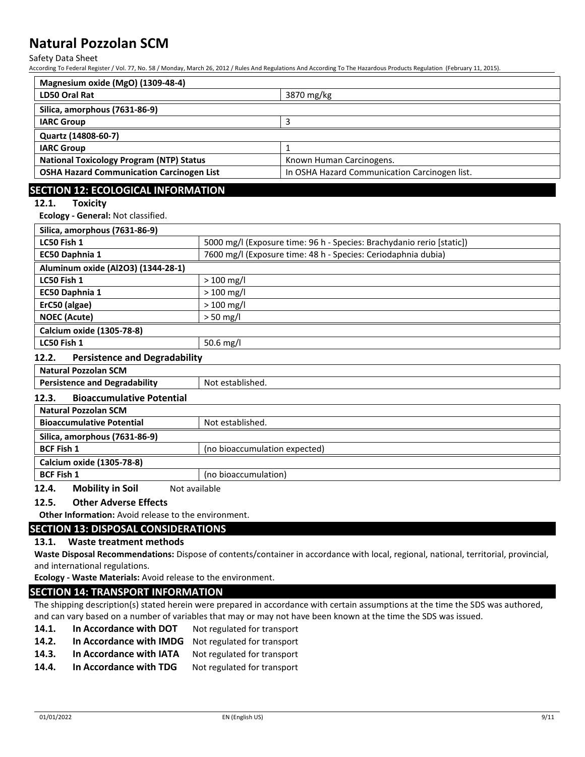Safety Data Sheet

According To Federal Register / Vol. 77, No. 58 / Monday, March 26, 2012 / Rules And Regulations And According To The Hazardous Products Regulation (February 11, 2015).

| Magnesium oxide (MgO) (1309-48-4)                |                                               |
|--------------------------------------------------|-----------------------------------------------|
| <b>LD50 Oral Rat</b>                             | 3870 mg/kg                                    |
| Silica, amorphous (7631-86-9)                    |                                               |
| <b>IARC Group</b>                                | 3                                             |
| Quartz (14808-60-7)                              |                                               |
| <b>IARC Group</b>                                |                                               |
| <b>National Toxicology Program (NTP) Status</b>  | Known Human Carcinogens.                      |
| <b>OSHA Hazard Communication Carcinogen List</b> | In OSHA Hazard Communication Carcinogen list. |

## **SECTION 12: ECOLOGICAL INFORMATION**

#### **12.1. Toxicity**

**Ecology - General:** Not classified.

| Silica, amorphous (7631-86-9)      |                                                                       |
|------------------------------------|-----------------------------------------------------------------------|
| LC50 Fish 1                        | 5000 mg/l (Exposure time: 96 h - Species: Brachydanio rerio [static]) |
| EC50 Daphnia 1                     | 7600 mg/l (Exposure time: 48 h - Species: Ceriodaphnia dubia)         |
| Aluminum oxide (Al2O3) (1344-28-1) |                                                                       |
| LC50 Fish 1                        | $> 100$ mg/l                                                          |
| EC50 Daphnia 1                     | $> 100$ mg/l                                                          |
| ErC50 (algae)                      | $> 100$ mg/l                                                          |
| <b>NOEC (Acute)</b>                | $>$ 50 mg/l                                                           |
| Calcium oxide (1305-78-8)          |                                                                       |
| LC50 Fish 1                        | 50.6 mg/l                                                             |
|                                    |                                                                       |

#### **12.2. Persistence and Degradability**

| <b>Natural Pozzolan SCM</b>               |                  |
|-------------------------------------------|------------------|
| <b>Persistence and Degradability</b>      | Not established. |
| 12.3.<br><b>Bioaccumulative Potential</b> |                  |
| Natural Dozzolan SCM                      |                  |

| <b>Natural Pozzolan SCM</b>      |                               |  |
|----------------------------------|-------------------------------|--|
| <b>Bioaccumulative Potential</b> | Not established.              |  |
| Silica, amorphous (7631-86-9)    |                               |  |
| <b>BCF Fish 1</b>                | (no bioaccumulation expected) |  |
| <b>Calcium oxide (1305-78-8)</b> |                               |  |
| <b>BCF Fish 1</b>                | (no bioaccumulation)          |  |

**12.4.** Mobility in Soil Not available

#### **12.5. Other Adverse Effects**

**Other Information:** Avoid release to the environment.

### **SECTION 13: DISPOSAL CONSIDERATIONS**

#### **13.1. Waste treatment methods**

**Waste Disposal Recommendations:** Dispose of contents/container in accordance with local, regional, national, territorial, provincial, and international regulations.

**Ecology - Waste Materials:** Avoid release to the environment.

## **SECTION 14: TRANSPORT INFORMATION**

The shipping description(s) stated herein were prepared in accordance with certain assumptions at the time the SDS was authored, and can vary based on a number of variables that may or may not have been known at the time the SDS was issued.

- 14.1. In Accordance with DOT Not regulated for transport
- **14.2. In Accordance with IMDG** Not regulated for transport
- 14.3. In Accordance with IATA Not regulated for transport
- 14.4. In Accordance with TDG Not regulated for transport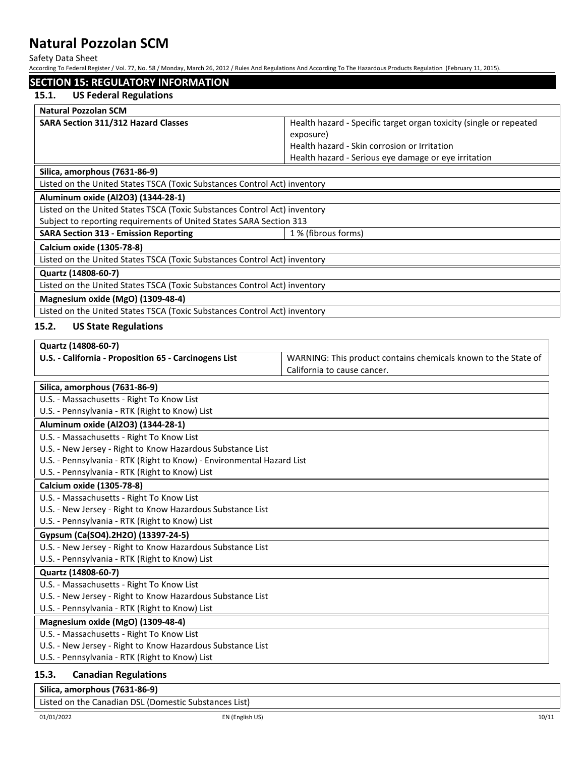Safety Data Sheet

| According To Federal Register / Vol. 77, No. 58 / Monday, March 26, 2012 / Rules And Regulations And According To The Hazardous Products Regulation (February 11, 2015). |                                                                    |  |  |  |
|--------------------------------------------------------------------------------------------------------------------------------------------------------------------------|--------------------------------------------------------------------|--|--|--|
| <b>SECTION 15: REGULATORY INFORMATION</b>                                                                                                                                |                                                                    |  |  |  |
| <b>US Federal Regulations</b><br>15.1.                                                                                                                                   |                                                                    |  |  |  |
| <b>Natural Pozzolan SCM</b>                                                                                                                                              |                                                                    |  |  |  |
| <b>SARA Section 311/312 Hazard Classes</b>                                                                                                                               | Health hazard - Specific target organ toxicity (single or repeated |  |  |  |
|                                                                                                                                                                          | exposure)                                                          |  |  |  |
|                                                                                                                                                                          | Health hazard - Skin corrosion or Irritation                       |  |  |  |
|                                                                                                                                                                          | Health hazard - Serious eye damage or eye irritation               |  |  |  |
| Silica, amorphous (7631-86-9)                                                                                                                                            |                                                                    |  |  |  |
| Listed on the United States TSCA (Toxic Substances Control Act) inventory                                                                                                |                                                                    |  |  |  |
| Aluminum oxide (Al2O3) (1344-28-1)                                                                                                                                       |                                                                    |  |  |  |
| Listed on the United States TSCA (Toxic Substances Control Act) inventory                                                                                                |                                                                    |  |  |  |
| Subject to reporting requirements of United States SARA Section 313                                                                                                      |                                                                    |  |  |  |
| <b>SARA Section 313 - Emission Reporting</b>                                                                                                                             | 1 % (fibrous forms)                                                |  |  |  |
| Calcium oxide (1305-78-8)                                                                                                                                                |                                                                    |  |  |  |
| Listed on the United States TSCA (Toxic Substances Control Act) inventory                                                                                                |                                                                    |  |  |  |
| Quartz (14808-60-7)                                                                                                                                                      |                                                                    |  |  |  |
| Listed on the United States TSCA (Toxic Substances Control Act) inventory                                                                                                |                                                                    |  |  |  |
| Magnesium oxide (MgO) (1309-48-4)                                                                                                                                        |                                                                    |  |  |  |
| Listed on the United States TSCA (Toxic Substances Control Act) inventory                                                                                                |                                                                    |  |  |  |
| 15.2.<br><b>US State Regulations</b>                                                                                                                                     |                                                                    |  |  |  |
| Quartz (14808-60-7)                                                                                                                                                      |                                                                    |  |  |  |
| U.S. - California - Proposition 65 - Carcinogens List                                                                                                                    | WARNING: This product contains chemicals known to the State of     |  |  |  |
|                                                                                                                                                                          | California to cause cancer.                                        |  |  |  |
|                                                                                                                                                                          |                                                                    |  |  |  |
| Silica, amorphous (7631-86-9)                                                                                                                                            |                                                                    |  |  |  |
| U.S. - Massachusetts - Right To Know List<br>U.S. - Pennsylvania - RTK (Right to Know) List                                                                              |                                                                    |  |  |  |
| Aluminum oxide (Al2O3) (1344-28-1)                                                                                                                                       |                                                                    |  |  |  |
| U.S. - Massachusetts - Right To Know List                                                                                                                                |                                                                    |  |  |  |
| U.S. - New Jersey - Right to Know Hazardous Substance List                                                                                                               |                                                                    |  |  |  |
| U.S. - Pennsylvania - RTK (Right to Know) - Environmental Hazard List                                                                                                    |                                                                    |  |  |  |
| U.S. - Pennsylvania - RTK (Right to Know) List                                                                                                                           |                                                                    |  |  |  |
| Calcium oxide (1305-78-8)                                                                                                                                                |                                                                    |  |  |  |
| U.S. - Massachusetts - Right To Know List                                                                                                                                |                                                                    |  |  |  |
| U.S. - New Jersey - Right to Know Hazardous Substance List                                                                                                               |                                                                    |  |  |  |
| U.S. - Pennsylvania - RTK (Right to Know) List                                                                                                                           |                                                                    |  |  |  |
| Gypsum (Ca(SO4).2H2O) (13397-24-5)                                                                                                                                       |                                                                    |  |  |  |
| U.S. - New Jersey - Right to Know Hazardous Substance List                                                                                                               |                                                                    |  |  |  |
| U.S. - Pennsylvania - RTK (Right to Know) List                                                                                                                           |                                                                    |  |  |  |
| Quartz (14808-60-7)                                                                                                                                                      |                                                                    |  |  |  |
| U.S. - Massachusetts - Right To Know List                                                                                                                                |                                                                    |  |  |  |
| U.S. - New Jersey - Right to Know Hazardous Substance List                                                                                                               |                                                                    |  |  |  |
| U.S. - Pennsylvania - RTK (Right to Know) List                                                                                                                           |                                                                    |  |  |  |
| Magnesium oxide (MgO) (1309-48-4)                                                                                                                                        |                                                                    |  |  |  |
| U.S. - Massachusetts - Right To Know List                                                                                                                                |                                                                    |  |  |  |
| U.S. - New Jersey - Right to Know Hazardous Substance List                                                                                                               |                                                                    |  |  |  |
| U.S. - Pennsylvania - RTK (Right to Know) List                                                                                                                           |                                                                    |  |  |  |
| 15.3.<br><b>Canadian Regulations</b>                                                                                                                                     |                                                                    |  |  |  |
| Silica, amorphous (7631-86-9)                                                                                                                                            |                                                                    |  |  |  |

Listed on the Canadian DSL (Domestic Substances List)